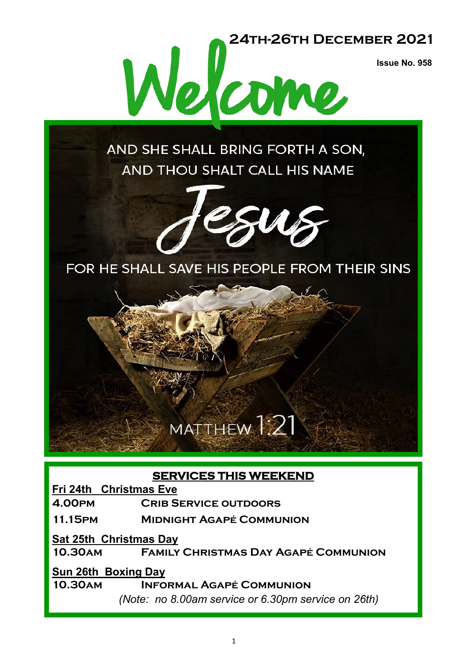**Issue No. 958**



AND SHE SHALL BRING FORTH A SON, AND THOU SHALT CALL HIS NAME



FOR HE SHALL SAVE HIS PEOPLE FROM THEIR SINS

# MATTHEW 1:21

#### **SERVICES THIS WEEKEND**

**Fri 24th Christmas Eve**

**4.00pm Crib Service outdoors**

**11.15pm Midnight Agapé Communion**

**Sat 25th Christmas Day**

**10.30am Family Christmas Day Agapé Communion**

#### **Sun 26th Boxing Day**

**10.30am Informal Agapé Communion**

*(Note: no 8.00am service or 6.30pm service on 26th)*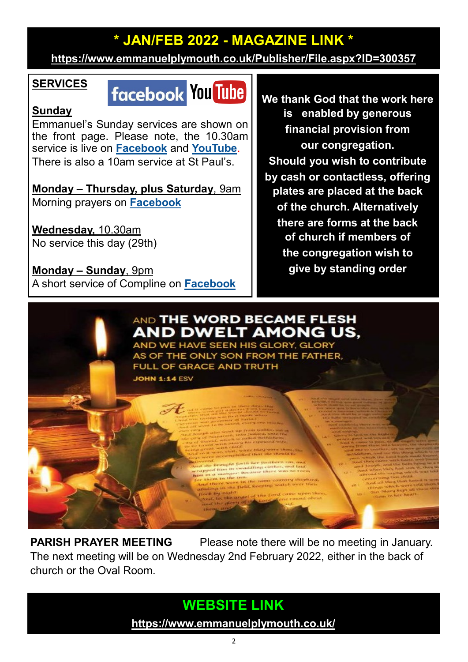### **\* JAN/FEB 2022 - MAGAZINE LINK \***

**<https://www.emmanuelplymouth.co.uk/Publisher/File.aspx?ID=300357>**

#### **SERVICES**

## **facebook You Tube**

#### **Sunday**

Emmanuel's Sunday services are shown on the front page. Please note, the 10.30am service is live on **[Facebook](https://www.facebook.com/emmanuelwithstpauls/)** and **[YouTube](https://www.youtube.com/channel/UCqTPdwPeUXD1TIFuG76xLfg)**. There is also a 10am service at St Paul's.

**Monday – Thursday, plus Saturday**, 9am Morning prayers on **[Facebook](https://www.facebook.com/emmanuelwithstpauls/)**

**Wednesday,** 10.30am No service this day (29th)

**Monday – Sunday**, 9pm A short service of Compline on **[Facebook](https://www.facebook.com/emmanuelwithstpauls/)** **We thank God that the work here is enabled by generous financial provision from our congregation. Should you wish to contribute by cash or contactless, offering plates are placed at the back of the church. Alternatively there are forms at the back of church if members of the congregation wish to give by standing order**



**PARISH PRAYER MEETING** Please note there will be no meeting in January. The next meeting will be on Wednesday 2nd February 2022, either in the back of church or the Oval Room.

## **WEBSITE LINK**

**<https://www.emmanuelplymouth.co.uk/>**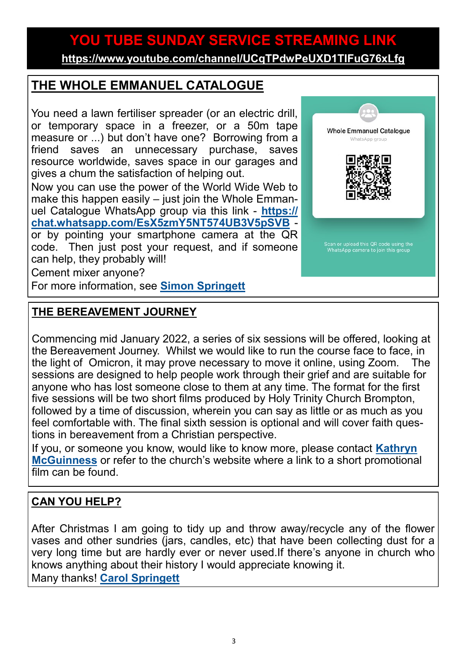### **YOU TUBE SUNDAY SERVICE STREAMING LINK**

**<https://www.youtube.com/channel/UCqTPdwPeUXD1TIFuG76xLfg>**

#### **THE WHOLE EMMANUEL CATALOGUE**

You need a lawn fertiliser spreader (or an electric drill, or temporary space in a freezer, or a 50m tape measure or ...) but don't have one? Borrowing from a friend saves an unnecessary purchase, saves resource worldwide, saves space in our garages and gives a chum the satisfaction of helping out.

Now you can use the power of the World Wide Web to make this happen easily – just join the Whole Emmanuel Catalogue WhatsApp group via this link - **[https://](https://chat.whatsapp.com/EsX5zmY5NT574UB3V5pSVB) [chat.whatsapp.com/EsX5zmY5NT574UB3V5pSVB](https://chat.whatsapp.com/EsX5zmY5NT574UB3V5pSVB)** or by pointing your smartphone camera at the QR code. Then just post your request, and if someone can help, they probably will!

Cement mixer anyone?

For more information, see **[Simon Springett](mailto:simonspringett@yahoo.com)**

#### **THE BEREAVEMENT JOURNEY**

Commencing mid January 2022, a series of six sessions will be offered, looking at the Bereavement Journey. Whilst we would like to run the course face to face, in the light of Omicron, it may prove necessary to move it online, using Zoom. The sessions are designed to help people work through their grief and are suitable for anyone who has lost someone close to them at any time. The format for the first five sessions will be two short films produced by Holy Trinity Church Brompton, followed by a time of discussion, wherein you can say as little or as much as you feel comfortable with. The final sixth session is optional and will cover faith questions in bereavement from a Christian perspective.

If you, or someone you know, would like to know more, please contact **[Kathryn](mailto:kmcguinness59@gmail.com)  [McGuinness](mailto:kmcguinness59@gmail.com)** or refer to the church's website where a link to a short promotional film can be found.

#### **CAN YOU HELP?**

After Christmas I am going to tidy up and throw away/recycle any of the flower vases and other sundries (jars, candles, etc) that have been collecting dust for a very long time but are hardly ever or never used.If there's anyone in church who knows anything about their history I would appreciate knowing it. Many thanks! **[Carol Springett](mailto:carolspringett54@gmail.com)**

3